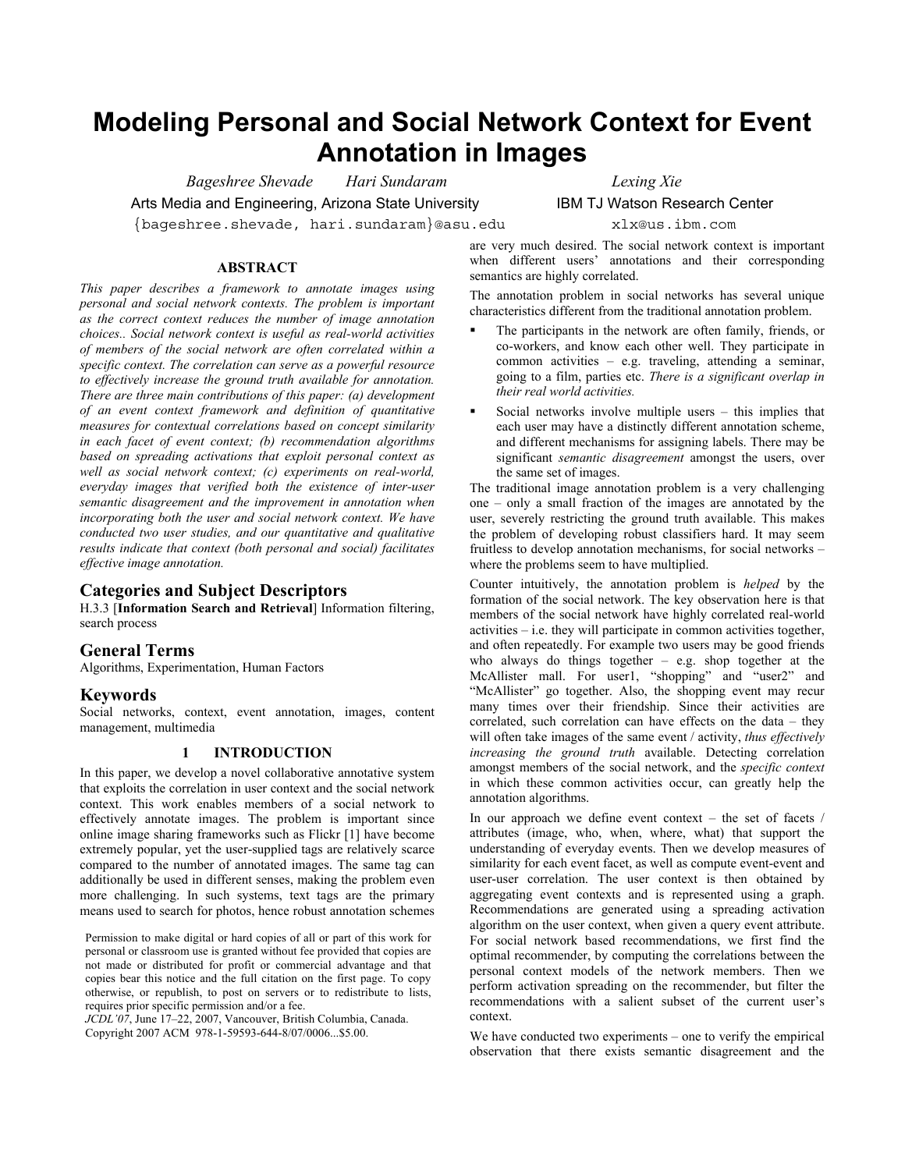# **Modeling Personal and Social Network Context for Event Annotation in Images**

*Bageshree Shevade Hari Sundaram Lexing Xie*  Arts Media and Engineering, Arizona State University **IBM TJ Watson Research Center** 

{bageshree.shevade, hari.sundaram}@asu.edu xlx@us.ibm.com

# **ABSTRACT**

*This paper describes a framework to annotate images using personal and social network contexts. The problem is important as the correct context reduces the number of image annotation choices.. Social network context is useful as real-world activities of members of the social network are often correlated within a specific context. The correlation can serve as a powerful resource to effectively increase the ground truth available for annotation. There are three main contributions of this paper: (a) development of an event context framework and definition of quantitative measures for contextual correlations based on concept similarity in each facet of event context; (b) recommendation algorithms based on spreading activations that exploit personal context as well as social network context; (c) experiments on real-world, everyday images that verified both the existence of inter-user semantic disagreement and the improvement in annotation when incorporating both the user and social network context. We have conducted two user studies, and our quantitative and qualitative results indicate that context (both personal and social) facilitates effective image annotation.* 

# **Categories and Subject Descriptors**

H.3.3 [**Information Search and Retrieval**] Information filtering, search process

# **General Terms**

Algorithms, Experimentation, Human Factors

# **Keywords**

Social networks, context, event annotation, images, content management, multimedia

# **1 INTRODUCTION**

In this paper, we develop a novel collaborative annotative system that exploits the correlation in user context and the social network context. This work enables members of a social network to effectively annotate images. The problem is important since online image sharing frameworks such as Flickr [1] have become extremely popular, yet the user-supplied tags are relatively scarce compared to the number of annotated images. The same tag can additionally be used in different senses, making the problem even more challenging. In such systems, text tags are the primary means used to search for photos, hence robust annotation schemes

Permission to make digital or hard copies of all or part of this work for personal or classroom use is granted without fee provided that copies are not made or distributed for profit or commercial advantage and that copies bear this notice and the full citation on the first page. To copy otherwise, or republish, to post on servers or to redistribute to lists, requires prior specific permission and/or a fee.

*JCDL'07*, June 17–22, 2007, Vancouver, British Columbia, Canada. Copyright 2007 ACM 978-1-59593-644-8/07/0006...\$5.00.

are very much desired. The social network context is important when different users' annotations and their corresponding semantics are highly correlated.

The annotation problem in social networks has several unique characteristics different from the traditional annotation problem.

- The participants in the network are often family, friends, or co-workers, and know each other well. They participate in common activities – e.g. traveling, attending a seminar, going to a film, parties etc. *There is a significant overlap in their real world activities.*
- Social networks involve multiple users this implies that each user may have a distinctly different annotation scheme, and different mechanisms for assigning labels. There may be significant *semantic disagreement* amongst the users, over the same set of images.

The traditional image annotation problem is a very challenging one – only a small fraction of the images are annotated by the user, severely restricting the ground truth available. This makes the problem of developing robust classifiers hard. It may seem fruitless to develop annotation mechanisms, for social networks – where the problems seem to have multiplied.

Counter intuitively, the annotation problem is *helped* by the formation of the social network. The key observation here is that members of the social network have highly correlated real-world activities – i.e. they will participate in common activities together, and often repeatedly. For example two users may be good friends who always do things together – e.g. shop together at the McAllister mall. For user1, "shopping" and "user2" and "McAllister" go together. Also, the shopping event may recur many times over their friendship. Since their activities are correlated, such correlation can have effects on the data – they will often take images of the same event / activity, *thus effectively increasing the ground truth* available. Detecting correlation amongst members of the social network, and the *specific context*  in which these common activities occur, can greatly help the annotation algorithms.

In our approach we define event context – the set of facets / attributes (image, who, when, where, what) that support the understanding of everyday events. Then we develop measures of similarity for each event facet, as well as compute event-event and user-user correlation. The user context is then obtained by aggregating event contexts and is represented using a graph. Recommendations are generated using a spreading activation algorithm on the user context, when given a query event attribute. For social network based recommendations, we first find the optimal recommender, by computing the correlations between the personal context models of the network members. Then we perform activation spreading on the recommender, but filter the recommendations with a salient subset of the current user's context.

We have conducted two experiments – one to verify the empirical observation that there exists semantic disagreement and the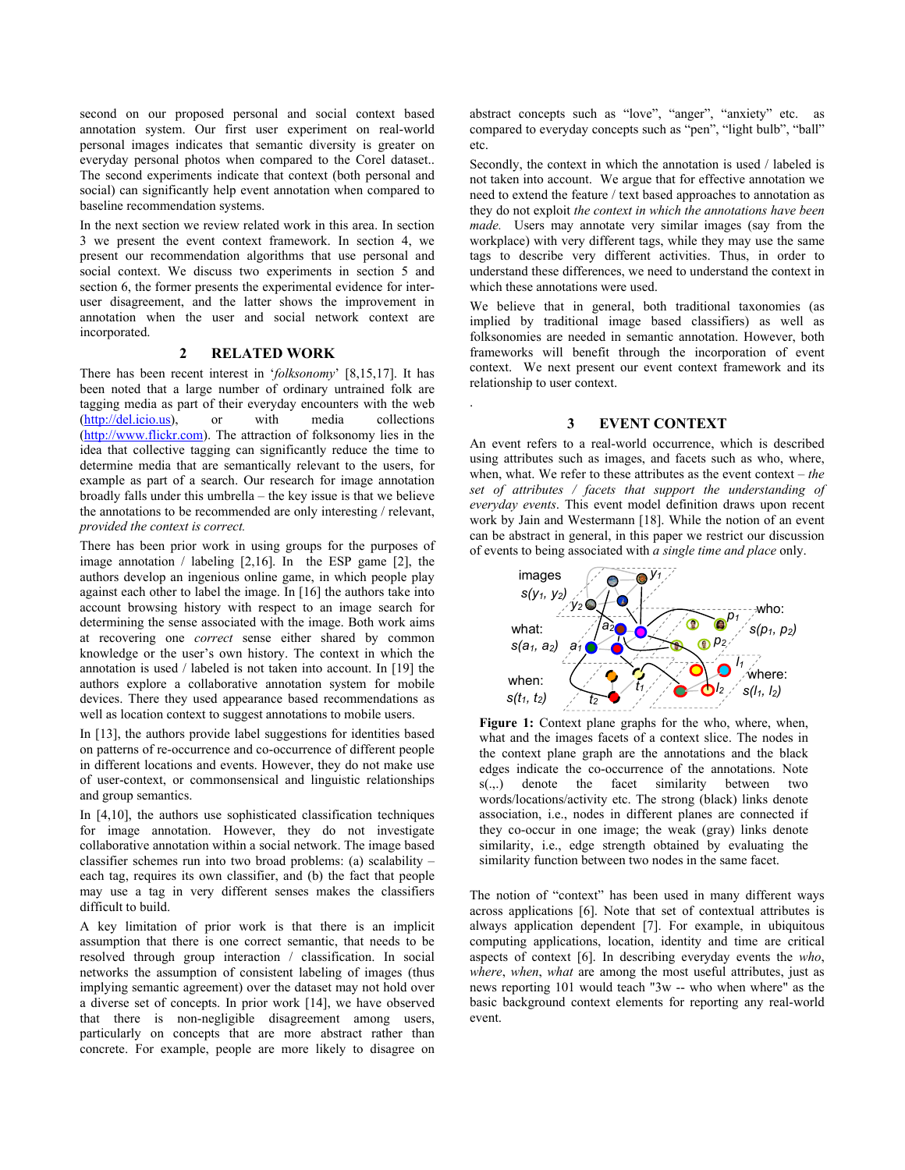second on our proposed personal and social context based annotation system. Our first user experiment on real-world personal images indicates that semantic diversity is greater on everyday personal photos when compared to the Corel dataset.. The second experiments indicate that context (both personal and social) can significantly help event annotation when compared to baseline recommendation systems.

In the next section we review related work in this area. In section 3 we present the event context framework. In section 4, we present our recommendation algorithms that use personal and social context. We discuss two experiments in section 5 and section 6, the former presents the experimental evidence for interuser disagreement, and the latter shows the improvement in annotation when the user and social network context are incorporated.

## **2 RELATED WORK**

There has been recent interest in '*folksonomy*' [8,15,17]. It has been noted that a large number of ordinary untrained folk are tagging media as part of their everyday encounters with the web (http://del.icio.us), or with media collections (http://www.flickr.com). The attraction of folksonomy lies in the idea that collective tagging can significantly reduce the time to determine media that are semantically relevant to the users, for example as part of a search. Our research for image annotation broadly falls under this umbrella – the key issue is that we believe the annotations to be recommended are only interesting / relevant, *provided the context is correct.* 

There has been prior work in using groups for the purposes of image annotation / labeling [2,16]. In the ESP game [2], the authors develop an ingenious online game, in which people play against each other to label the image. In [16] the authors take into account browsing history with respect to an image search for determining the sense associated with the image. Both work aims at recovering one *correct* sense either shared by common knowledge or the user's own history. The context in which the annotation is used / labeled is not taken into account. In [19] the authors explore a collaborative annotation system for mobile devices. There they used appearance based recommendations as well as location context to suggest annotations to mobile users.

In [13], the authors provide label suggestions for identities based on patterns of re-occurrence and co-occurrence of different people in different locations and events. However, they do not make use of user-context, or commonsensical and linguistic relationships and group semantics.

In [4,10], the authors use sophisticated classification techniques for image annotation. However, they do not investigate collaborative annotation within a social network. The image based classifier schemes run into two broad problems: (a) scalability – each tag, requires its own classifier, and (b) the fact that people may use a tag in very different senses makes the classifiers difficult to build.

A key limitation of prior work is that there is an implicit assumption that there is one correct semantic, that needs to be resolved through group interaction / classification. In social networks the assumption of consistent labeling of images (thus implying semantic agreement) over the dataset may not hold over a diverse set of concepts. In prior work [14], we have observed that there is non-negligible disagreement among users, particularly on concepts that are more abstract rather than concrete. For example, people are more likely to disagree on

abstract concepts such as "love", "anger", "anxiety" etc. as compared to everyday concepts such as "pen", "light bulb", "ball" etc.

Secondly, the context in which the annotation is used / labeled is not taken into account. We argue that for effective annotation we need to extend the feature / text based approaches to annotation as they do not exploit *the context in which the annotations have been made.* Users may annotate very similar images (say from the workplace) with very different tags, while they may use the same tags to describe very different activities. Thus, in order to understand these differences, we need to understand the context in which these annotations were used.

We believe that in general, both traditional taxonomies (as implied by traditional image based classifiers) as well as folksonomies are needed in semantic annotation. However, both frameworks will benefit through the incorporation of event context. We next present our event context framework and its relationship to user context.

#### **3 EVENT CONTEXT**

.

An event refers to a real-world occurrence, which is described using attributes such as images, and facets such as who, where, when, what. We refer to these attributes as the event context – *the set of attributes / facets that support the understanding of everyday events*. This event model definition draws upon recent work by Jain and Westermann [18]. While the notion of an event can be abstract in general, in this paper we restrict our discussion of events to being associated with *a single time and place* only.



Figure 1: Context plane graphs for the who, where, when, what and the images facets of a context slice. The nodes in the context plane graph are the annotations and the black edges indicate the co-occurrence of the annotations. Note s(.,.) denote the facet similarity between two words/locations/activity etc. The strong (black) links denote association, i.e., nodes in different planes are connected if they co-occur in one image; the weak (gray) links denote similarity, i.e., edge strength obtained by evaluating the similarity function between two nodes in the same facet.

The notion of "context" has been used in many different ways across applications [6]. Note that set of contextual attributes is always application dependent [7]. For example, in ubiquitous computing applications, location, identity and time are critical aspects of context [6]. In describing everyday events the *who*, *where*, *when*, *what* are among the most useful attributes, just as news reporting 101 would teach "3w -- who when where" as the basic background context elements for reporting any real-world event.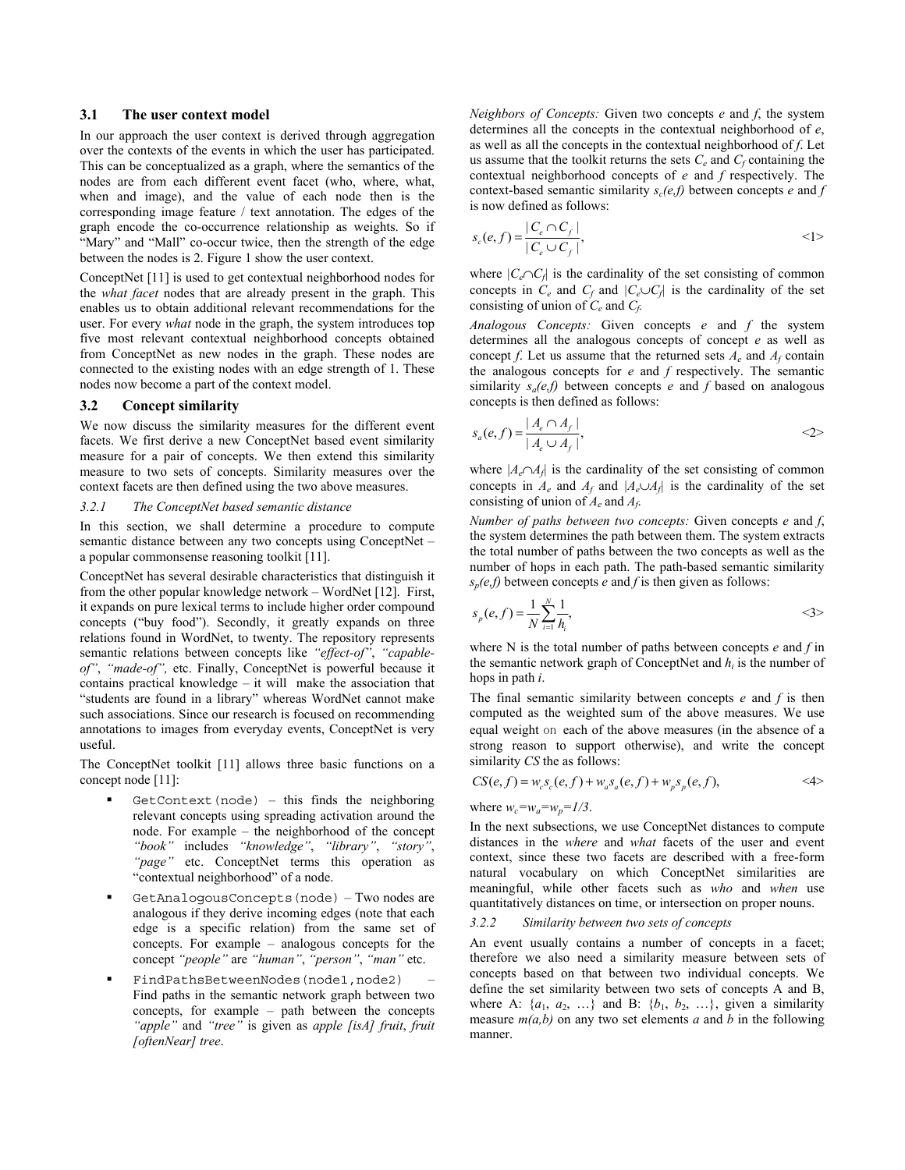#### **3.1 The user context model**

In our approach the user context is derived through aggregation over the contexts of the events in which the user has participated. This can be conceptualized as a graph, where the semantics of the nodes are from each different event facet (who, where, what, when and image), and the value of each node then is the corresponding image feature / text annotation. The edges of the graph encode the co-occurrence relationship as weights. So if "Mary" and "Mall" co-occur twice, then the strength of the edge between the nodes is 2. Figure 1 show the user context.

ConceptNet [11] is used to get contextual neighborhood nodes for the *what facet* nodes that are already present in the graph. This enables us to obtain additional relevant recommendations for the user. For every *what* node in the graph, the system introduces top five most relevant contextual neighborhood concepts obtained from ConceptNet as new nodes in the graph. These nodes are connected to the existing nodes with an edge strength of 1. These nodes now become a part of the context model.

#### **3.2 Concept similarity**

We now discuss the similarity measures for the different event facets. We first derive a new ConceptNet based event similarity measure for a pair of concepts. We then extend this similarity measure to two sets of concepts. Similarity measures over the context facets are then defined using the two above measures.

#### *3.2.1 The ConceptNet based semantic distance*

In this section, we shall determine a procedure to compute semantic distance between any two concepts using ConceptNet – a popular commonsense reasoning toolkit [11].

ConceptNet has several desirable characteristics that distinguish it from the other popular knowledge network – WordNet [12]. First, it expands on pure lexical terms to include higher order compound concepts ("buy food"). Secondly, it greatly expands on three relations found in WordNet, to twenty. The repository represents semantic relations between concepts like *"effect-of"*, *"capableof"*, *"made-of",* etc. Finally, ConceptNet is powerful because it contains practical knowledge – it will make the association that "students are found in a library" whereas WordNet cannot make such associations. Since our research is focused on recommending annotations to images from everyday events, ConceptNet is very useful.

The ConceptNet toolkit [11] allows three basic functions on a concept node [11]:

- GetContext(node) this finds the neighboring relevant concepts using spreading activation around the node. For example – the neighborhood of the concept *"book"* includes *"knowledge"*, *"library"*, *"story"*, *"page"* etc. ConceptNet terms this operation as "contextual neighborhood" of a node.
- GetAnalogousConcepts(node) Two nodes are analogous if they derive incoming edges (note that each edge is a specific relation) from the same set of concepts. For example – analogous concepts for the concept *"people"* are *"human"*, *"person"*, *"man"* etc.
- FindPathsBetweenNodes(node1,node2) Find paths in the semantic network graph between two concepts, for example – path between the concepts *"apple"* and *"tree"* is given as *apple [isA] fruit*, *fruit [oftenNear] tree*.

*Neighbors of Concepts:* Given two concepts *e* and *f*, the system determines all the concepts in the contextual neighborhood of *e*, as well as all the concepts in the contextual neighborhood of *f*. Let us assume that the toolkit returns the sets  $C_e$  and  $C_f$  containing the contextual neighborhood concepts of *e* and *f* respectively. The context-based semantic similarity  $s_c(e,f)$  between concepts *e* and *f* is now defined as follows:

$$
s_c(e,f) = \frac{|C_e \cap C_f|}{|C_e \cup C_f|},
$$
  $\langle 1 \rangle$ 

where  $|C_e \cap C_f|$  is the cardinality of the set consisting of common concepts in  $C_e$  and  $C_f$  and  $|C_e \cup C_f|$  is the cardinality of the set consisting of union of *Ce* and *Cf.*

*Analogous Concepts:* Given concepts *e* and *f* the system determines all the analogous concepts of concept *e* as well as concept *f*. Let us assume that the returned sets  $A_e$  and  $A_f$  contain the analogous concepts for *e* and *f* respectively. The semantic similarity  $s_a(e,f)$  between concepts *e* and *f* based on analogous concepts is then defined as follows:

$$
s_a(e,f) = \frac{|A_e \cap A_f|}{|A_e \cup A_f|},\tag{2}
$$

where  $|A_e \cap A_f|$  is the cardinality of the set consisting of common concepts in  $A_e$  and  $A_f$  and  $|A_e \cup A_f|$  is the cardinality of the set consisting of union of *Ae* and *Af*.

*Number of paths between two concepts:* Given concepts *e* and *f*, the system determines the path between them. The system extracts the total number of paths between the two concepts as well as the number of hops in each path. The path-based semantic similarity  $s_p(e,f)$  between concepts *e* and *f* is then given as follows:

$$
s_p(e, f) = \frac{1}{N} \sum_{i=1}^{N} \frac{1}{h_i},
$$
  $\langle 3 \rangle$ 

where N is the total number of paths between concepts *e* and *f* in the semantic network graph of ConceptNet and  $h_i$  is the number of hops in path *i*.

The final semantic similarity between concepts *e* and *f* is then computed as the weighted sum of the above measures. We use equal weight on each of the above measures (in the absence of a strong reason to support otherwise), and write the concept similarity *CS* the as follows:

$$
CS(e,f) = w_c s_c(e,f) + w_a s_a(e,f) + w_p s_p(e,f), \qquad \qquad \Longleftrightarrow
$$

where  $w_c = w_a = w_p = 1/3$ .

In the next subsections, we use ConceptNet distances to compute distances in the *where* and *what* facets of the user and event context, since these two facets are described with a free-form natural vocabulary on which ConceptNet similarities are meaningful, while other facets such as *who* and *when* use quantitatively distances on time, or intersection on proper nouns.

*3.2.2 Similarity between two sets of concepts* 

An event usually contains a number of concepts in a facet; therefore we also need a similarity measure between sets of concepts based on that between two individual concepts. We define the set similarity between two sets of concepts A and B, where A:  $\{a_1, a_2, \ldots\}$  and B:  $\{b_1, b_2, \ldots\}$ , given a similarity measure  $m(a,b)$  on any two set elements  $a$  and  $b$  in the following manner.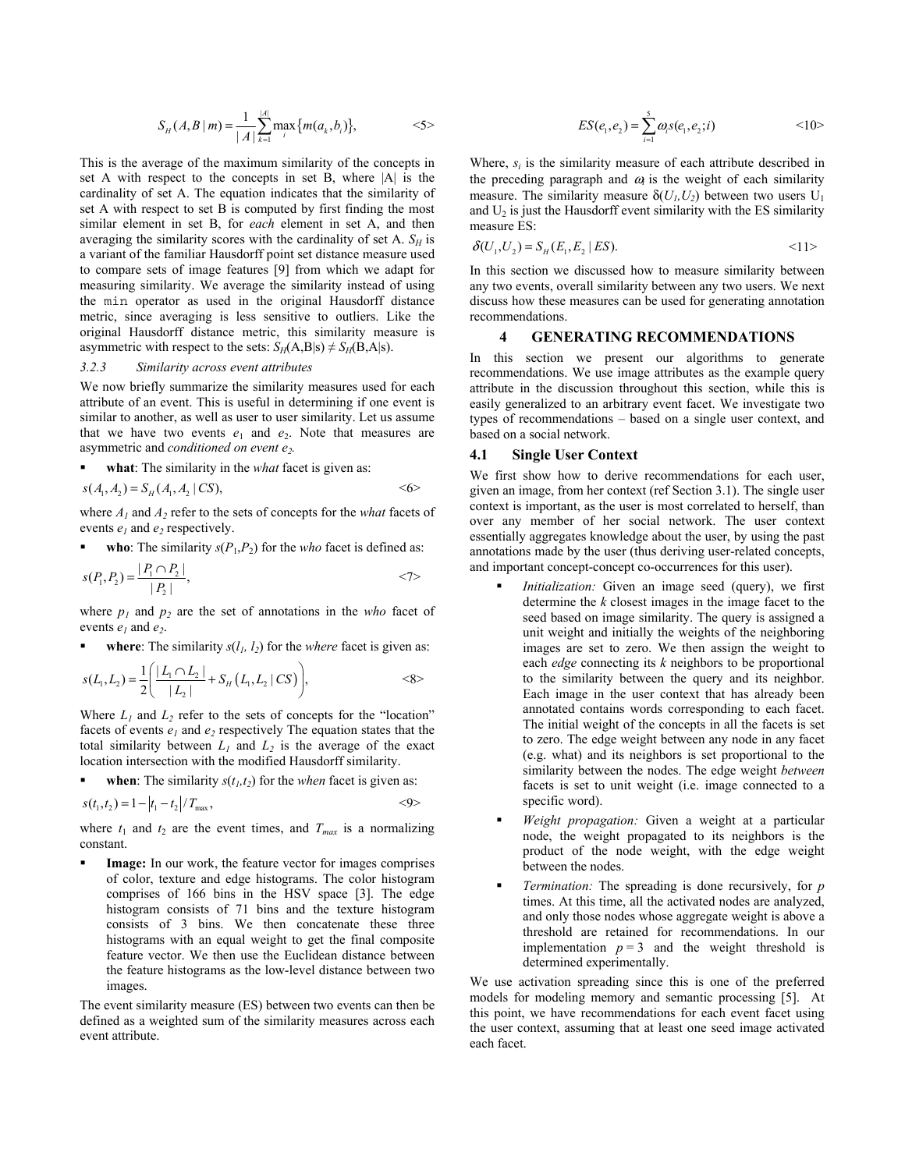$$
S_H(A, B \mid m) = \frac{1}{|A|} \sum_{k=1}^{|A|} \max_i \{m(a_k, b_i)\},
$$
  $\langle 5 \rangle$ 

This is the average of the maximum similarity of the concepts in set A with respect to the concepts in set B, where |A| is the cardinality of set A. The equation indicates that the similarity of set A with respect to set B is computed by first finding the most similar element in set B, for *each* element in set A, and then averaging the similarity scores with the cardinality of set A.  $S_H$  is a variant of the familiar Hausdorff point set distance measure used to compare sets of image features [9] from which we adapt for measuring similarity. We average the similarity instead of using the min operator as used in the original Hausdorff distance metric, since averaging is less sensitive to outliers. Like the original Hausdorff distance metric, this similarity measure is asymmetric with respect to the sets:  $S_H(A, B|s) \neq S_H(B, A|s)$ .

#### *3.2.3 Similarity across event attributes*

We now briefly summarize the similarity measures used for each attribute of an event. This is useful in determining if one event is similar to another, as well as user to user similarity. Let us assume that we have two events  $e_1$  and  $e_2$ . Note that measures are asymmetric and *conditioned on event e2.* 

**what**: The similarity in the *what* facet is given as:

$$
s(A_1, A_2) = S_H(A_1, A_2 \mid CS), \tag{6}
$$

where  $A_1$  and  $A_2$  refer to the sets of concepts for the *what* facets of events  $e_1$  and  $e_2$  respectively.

**who**: The similarity  $s(P_1, P_2)$  for the *who* facet is defined as:

$$
s(P_1, P_2) = \frac{|P_1 \cap P_2|}{|P_2|},
$$
  $\langle 7 \rangle$ 

where  $p_1$  and  $p_2$  are the set of annotations in the *who* facet of events  $e_1$  and  $e_2$ .

where: The similarity  $s(l_1, l_2)$  for the *where* facet is given as:

$$
s(L_1, L_2) = \frac{1}{2} \left( \frac{|L_1 \cap L_2|}{|L_2|} + S_H(L_1, L_2 | CS) \right),
$$
  $\langle 8 \rangle$ 

Where  $L_1$  and  $L_2$  refer to the sets of concepts for the "location" facets of events  $e_1$  and  $e_2$  respectively The equation states that the total similarity between  $L_1$  and  $L_2$  is the average of the exact location intersection with the modified Hausdorff similarity.

**when**: The similarity  $s(t_1, t_2)$  for the *when* facet is given as:

$$
s(t_1, t_2) = 1 - |t_1 - t_2| / T_{\text{max}},
$$

where  $t_1$  and  $t_2$  are the event times, and  $T_{max}$  is a normalizing constant.

 **Image:** In our work, the feature vector for images comprises of color, texture and edge histograms. The color histogram comprises of 166 bins in the HSV space [3]. The edge histogram consists of 71 bins and the texture histogram consists of 3 bins. We then concatenate these three histograms with an equal weight to get the final composite feature vector. We then use the Euclidean distance between the feature histograms as the low-level distance between two images.

The event similarity measure (ES) between two events can then be defined as a weighted sum of the similarity measures across each event attribute.

$$
ES(e_1, e_2) = \sum_{i=1}^{5} \omega_i s(e_1, e_2; i)
$$
  $\langle 10 \rangle$ 

Where,  $s_i$  is the similarity measure of each attribute described in the preceding paragraph and  $\omega_i$  is the weight of each similarity measure. The similarity measure  $\delta(U_1, U_2)$  between two users U<sub>1</sub> and  $U_2$  is just the Hausdorff event similarity with the ES similarity measure ES:

$$
\delta(U_1, U_2) = S_H(E_1, E_2 | ES).
$$
  $\langle 1 \rangle$ 

In this section we discussed how to measure similarity between any two events, overall similarity between any two users. We next discuss how these measures can be used for generating annotation recommendations.

#### **4 GENERATING RECOMMENDATIONS**

In this section we present our algorithms to generate recommendations. We use image attributes as the example query attribute in the discussion throughout this section, while this is easily generalized to an arbitrary event facet. We investigate two types of recommendations – based on a single user context, and based on a social network.

#### **4.1 Single User Context**

We first show how to derive recommendations for each user, given an image, from her context (ref Section 3.1). The single user context is important, as the user is most correlated to herself, than over any member of her social network. The user context essentially aggregates knowledge about the user, by using the past annotations made by the user (thus deriving user-related concepts, and important concept-concept co-occurrences for this user).

- *Initialization:* Given an image seed (query), we first determine the *k* closest images in the image facet to the seed based on image similarity. The query is assigned a unit weight and initially the weights of the neighboring images are set to zero. We then assign the weight to each *edge* connecting its *k* neighbors to be proportional to the similarity between the query and its neighbor. Each image in the user context that has already been annotated contains words corresponding to each facet. The initial weight of the concepts in all the facets is set to zero. The edge weight between any node in any facet (e.g. what) and its neighbors is set proportional to the similarity between the nodes. The edge weight *between* facets is set to unit weight (i.e. image connected to a specific word).
- *Weight propagation:* Given a weight at a particular node, the weight propagated to its neighbors is the product of the node weight, with the edge weight between the nodes.
- *Termination:* The spreading is done recursively, for *p* times. At this time, all the activated nodes are analyzed, and only those nodes whose aggregate weight is above a threshold are retained for recommendations. In our implementation  $p = 3$  and the weight threshold is determined experimentally.

We use activation spreading since this is one of the preferred models for modeling memory and semantic processing [5]. At this point, we have recommendations for each event facet using the user context, assuming that at least one seed image activated each facet.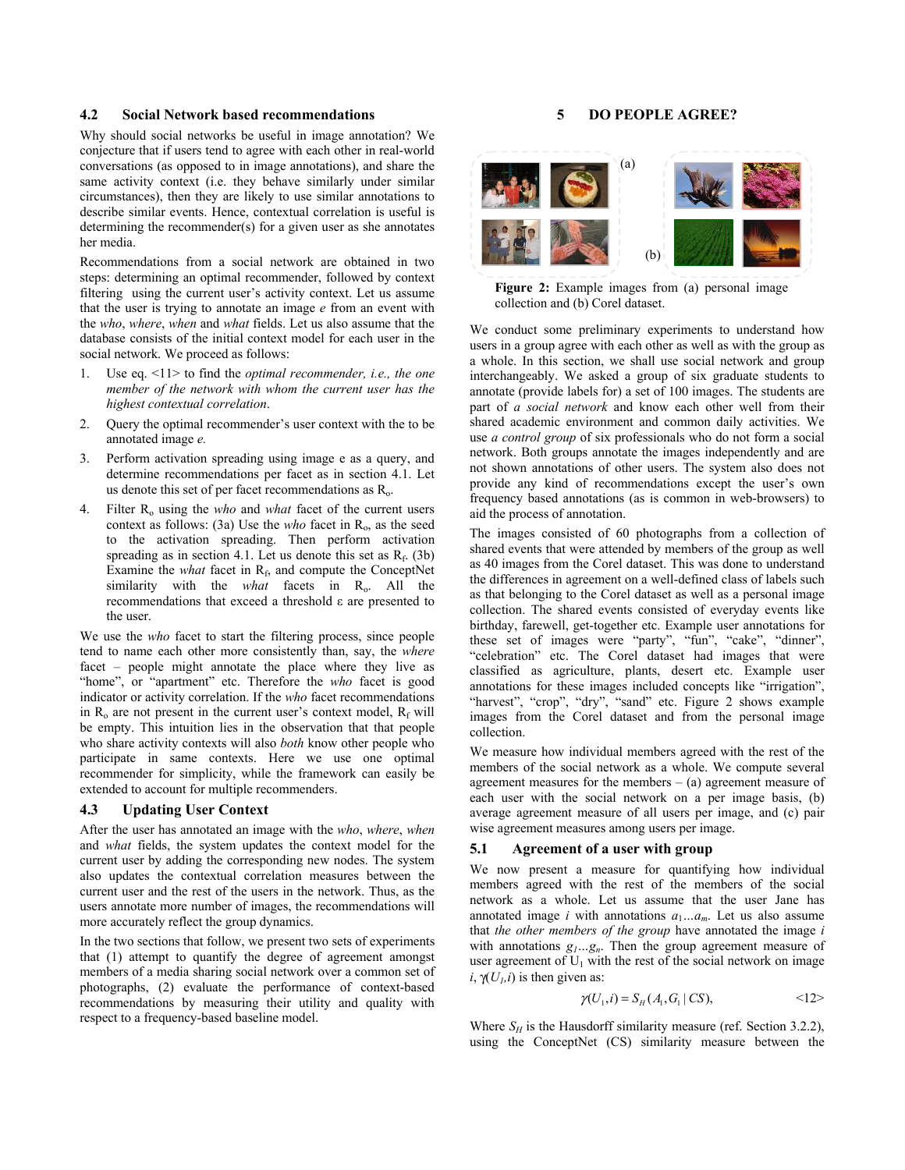# **4.2 Social Network based recommendations**

Why should social networks be useful in image annotation? We conjecture that if users tend to agree with each other in real-world conversations (as opposed to in image annotations), and share the same activity context (i.e. they behave similarly under similar circumstances), then they are likely to use similar annotations to describe similar events. Hence, contextual correlation is useful is determining the recommender(s) for a given user as she annotates her media.

Recommendations from a social network are obtained in two steps: determining an optimal recommender, followed by context filtering using the current user's activity context. Let us assume that the user is trying to annotate an image *e* from an event with the *who*, *where*, *when* and *what* fields. Let us also assume that the database consists of the initial context model for each user in the social network. We proceed as follows:

- 1. Use eq. <11> to find the *optimal recommender, i.e., the one member of the network with whom the current user has the highest contextual correlation*.
- 2. Query the optimal recommender's user context with the to be annotated image *e.*
- 3. Perform activation spreading using image e as a query, and determine recommendations per facet as in section 4.1. Let us denote this set of per facet recommendations as Ro.
- Filter  $R_0$  using the *who* and *what* facet of the current users context as follows: (3a) Use the *who* facet in  $R_0$ , as the seed to the activation spreading. Then perform activation spreading as in section 4.1. Let us denote this set as  $R_f$ . (3b) Examine the *what* facet in R<sub>f</sub>, and compute the ConceptNet similarity with the *what* facets in R<sub>o</sub>. All the recommendations that exceed a threshold ε are presented to the user.

We use the *who* facet to start the filtering process, since people tend to name each other more consistently than, say, the *where*  facet – people might annotate the place where they live as "home", or "apartment" etc. Therefore the *who* facet is good indicator or activity correlation. If the *who* facet recommendations in  $R_0$  are not present in the current user's context model,  $R_f$  will be empty. This intuition lies in the observation that that people who share activity contexts will also *both* know other people who participate in same contexts. Here we use one optimal recommender for simplicity, while the framework can easily be extended to account for multiple recommenders.

#### **4.3 Updating User Context**

After the user has annotated an image with the *who*, *where*, *when* and *what* fields, the system updates the context model for the current user by adding the corresponding new nodes. The system also updates the contextual correlation measures between the current user and the rest of the users in the network. Thus, as the users annotate more number of images, the recommendations will more accurately reflect the group dynamics.

In the two sections that follow, we present two sets of experiments that (1) attempt to quantify the degree of agreement amongst members of a media sharing social network over a common set of photographs, (2) evaluate the performance of context-based recommendations by measuring their utility and quality with respect to a frequency-based baseline model.

# **5 DO PEOPLE AGREE?**



**Figure 2:** Example images from (a) personal image collection and (b) Corel dataset.

We conduct some preliminary experiments to understand how users in a group agree with each other as well as with the group as a whole. In this section, we shall use social network and group interchangeably. We asked a group of six graduate students to annotate (provide labels for) a set of 100 images. The students are part of *a social network* and know each other well from their shared academic environment and common daily activities. We use *a control group* of six professionals who do not form a social network. Both groups annotate the images independently and are not shown annotations of other users. The system also does not provide any kind of recommendations except the user's own frequency based annotations (as is common in web-browsers) to aid the process of annotation.

The images consisted of 60 photographs from a collection of shared events that were attended by members of the group as well as 40 images from the Corel dataset. This was done to understand the differences in agreement on a well-defined class of labels such as that belonging to the Corel dataset as well as a personal image collection. The shared events consisted of everyday events like birthday, farewell, get-together etc. Example user annotations for these set of images were "party", "fun", "cake", "dinner", "celebration" etc. The Corel dataset had images that were classified as agriculture, plants, desert etc. Example user annotations for these images included concepts like "irrigation", "harvest", "crop", "dry", "sand" etc. Figure 2 shows example images from the Corel dataset and from the personal image collection.

We measure how individual members agreed with the rest of the members of the social network as a whole. We compute several agreement measures for the members  $-$  (a) agreement measure of each user with the social network on a per image basis, (b) average agreement measure of all users per image, and (c) pair wise agreement measures among users per image.

#### **5.1 Agreement of a user with group**

We now present a measure for quantifying how individual members agreed with the rest of the members of the social network as a whole. Let us assume that the user Jane has annotated image *i* with annotations  $a_1...a_m$ . Let us also assume that *the other members of the group* have annotated the image *i* with annotations  $g_1...g_n$ . Then the group agreement measure of user agreement of  $U_1$  with the rest of the social network on image  $i$ ,  $\gamma(U_l,i)$  is then given as:

$$
\gamma(U_1, i) = S_H(A_1, G_1 | CS), \qquad \qquad \le 12>
$$

Where  $S_H$  is the Hausdorff similarity measure (ref. Section 3.2.2), using the ConceptNet (CS) similarity measure between the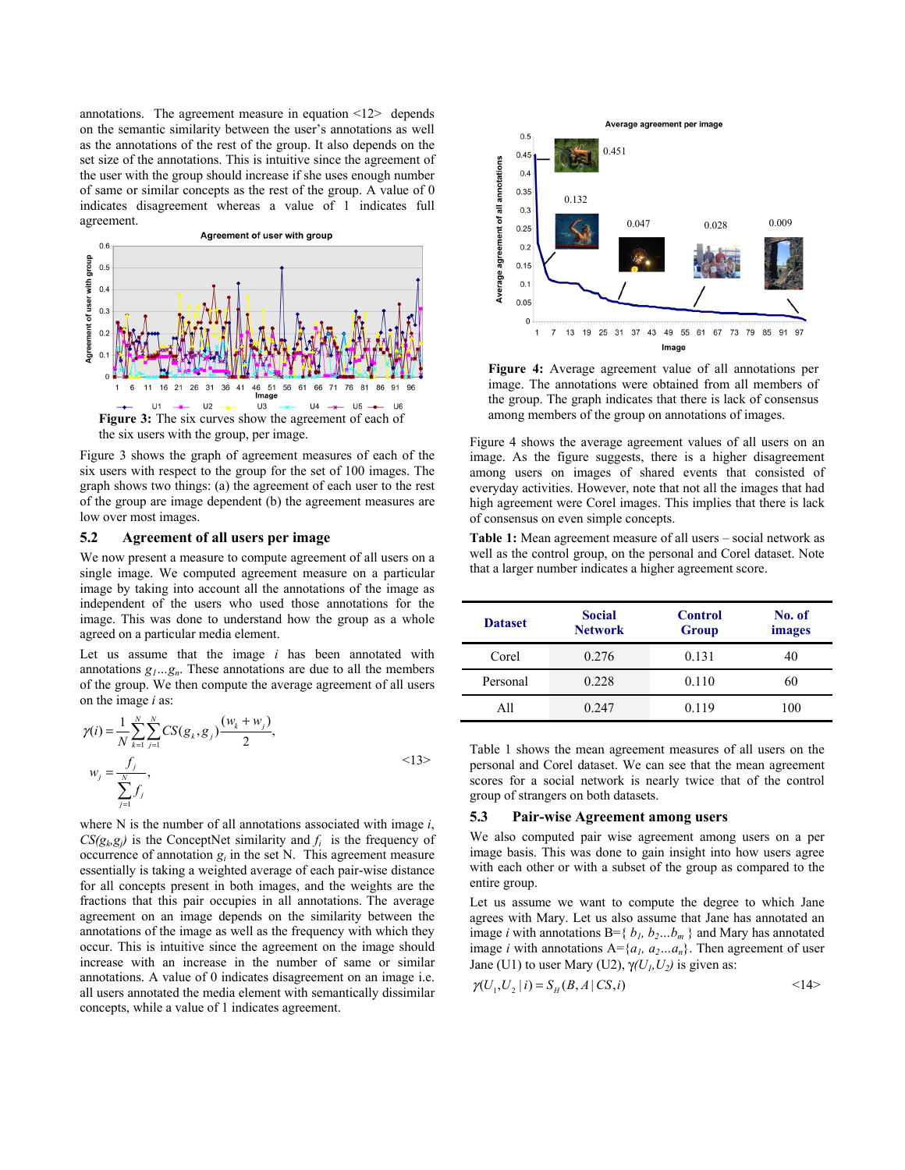annotations. The agreement measure in equation <12> depends on the semantic similarity between the user's annotations as well as the annotations of the rest of the group. It also depends on the set size of the annotations. This is intuitive since the agreement of the user with the group should increase if she uses enough number of same or similar concepts as the rest of the group. A value of 0 indicates disagreement whereas a value of 1 indicates full agreement.



the six users with the group, per image.

Figure 3 shows the graph of agreement measures of each of the six users with respect to the group for the set of 100 images. The graph shows two things: (a) the agreement of each user to the rest of the group are image dependent (b) the agreement measures are low over most images.

#### **5.2 Agreement of all users per image**

We now present a measure to compute agreement of all users on a single image. We computed agreement measure on a particular image by taking into account all the annotations of the image as independent of the users who used those annotations for the image. This was done to understand how the group as a whole agreed on a particular media element.

Let us assume that the image *i* has been annotated with annotations  $g_1...g_n$ . These annotations are due to all the members of the group. We then compute the average agreement of all users on the image *i* as:

$$
\gamma(i) = \frac{1}{N} \sum_{k=1}^{N} \sum_{j=1}^{N} CS(g_k, g_j) \frac{(w_k + w_j)}{2},
$$
  
\n
$$
w_j = \frac{f_j}{\sum_{j=1}^{N} f_j},
$$
\n
$$
\tag{13}
$$

where N is the number of all annotations associated with image *i*,  $CS(g_k, g_j)$  is the ConceptNet similarity and  $f_i$  is the frequency of occurrence of annotation  $g_i$  in the set N. This agreement measure essentially is taking a weighted average of each pair-wise distance for all concepts present in both images, and the weights are the fractions that this pair occupies in all annotations. The average agreement on an image depends on the similarity between the annotations of the image as well as the frequency with which they occur. This is intuitive since the agreement on the image should increase with an increase in the number of same or similar annotations. A value of 0 indicates disagreement on an image i.e. all users annotated the media element with semantically dissimilar concepts, while a value of 1 indicates agreement.



**Figure 4:** Average agreement value of all annotations per image. The annotations were obtained from all members of the group. The graph indicates that there is lack of consensus

Figure 4 shows the average agreement values of all users on an image. As the figure suggests, there is a higher disagreement among users on images of shared events that consisted of everyday activities. However, note that not all the images that had high agreement were Corel images. This implies that there is lack of consensus on even simple concepts.

**Table 1:** Mean agreement measure of all users – social network as well as the control group, on the personal and Corel dataset. Note that a larger number indicates a higher agreement score.

| <b>Dataset</b> | <b>Social</b><br><b>Network</b> | <b>Control</b><br>Group | No. of<br>images |
|----------------|---------------------------------|-------------------------|------------------|
| Corel          | 0.276                           | 0.131                   | 40               |
| Personal       | 0.228                           | 0.110                   | 60               |
| A11            | 0.247                           | 0.119                   | 100              |

Table 1 shows the mean agreement measures of all users on the personal and Corel dataset. We can see that the mean agreement scores for a social network is nearly twice that of the control group of strangers on both datasets.

# **5.3 Pair-wise Agreement among users**

We also computed pair wise agreement among users on a per image basis. This was done to gain insight into how users agree with each other or with a subset of the group as compared to the entire group.

Let us assume we want to compute the degree to which Jane agrees with Mary. Let us also assume that Jane has annotated an image *i* with annotations  $B = \{ b_1, b_2...b_m \}$  and Mary has annotated image *i* with annotations  $A = \{a_1, a_2... a_n\}$ . Then agreement of user Jane (U1) to user Mary (U2),  $γ(U<sub>1</sub>, U<sub>2</sub>)$  is given as:

$$
\gamma(U_1, U_2 \mid i) = S_H(B, A \mid CS, i) \tag{14}
$$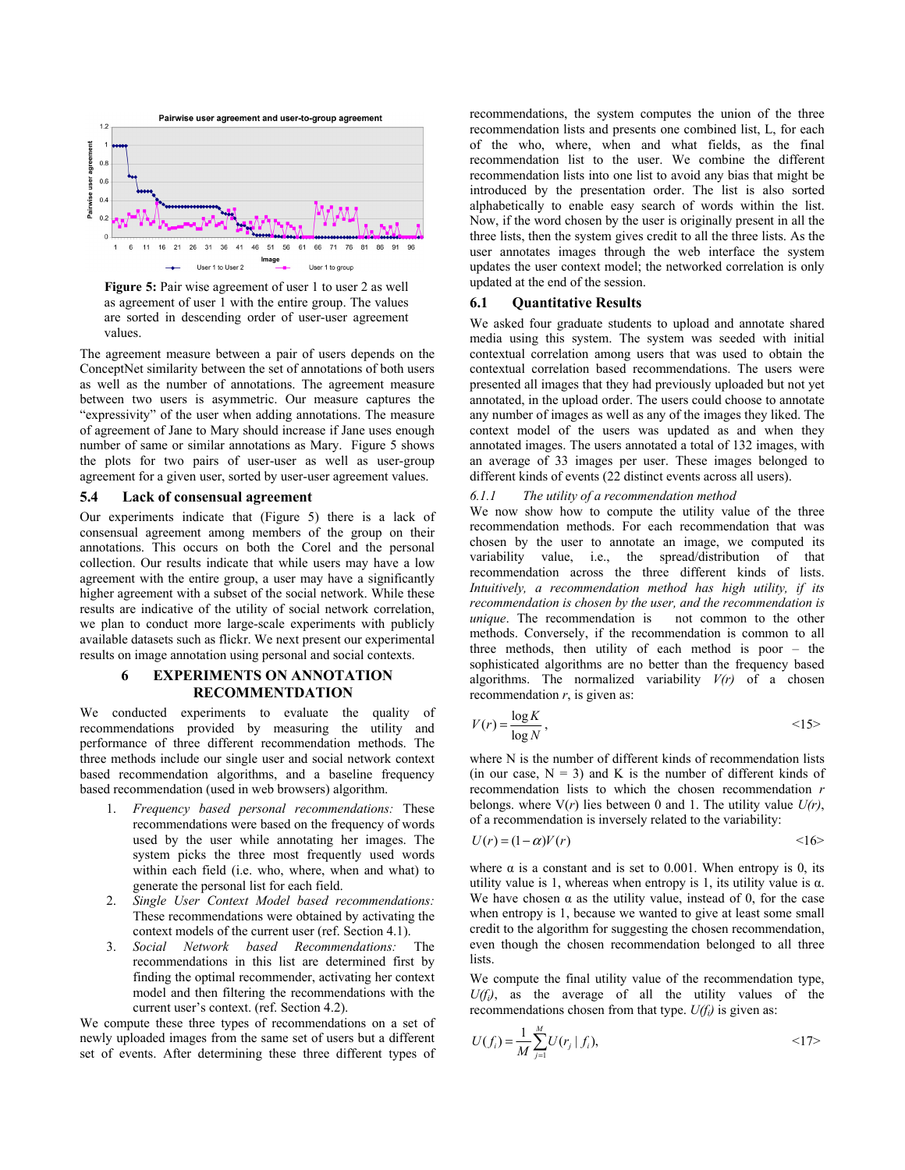

Figure 5: Pair wise agreement of user 1 to user 2 as well as agreement of user 1 with the entire group. The values are sorted in descending order of user-user agreement values.

The agreement measure between a pair of users depends on the ConceptNet similarity between the set of annotations of both users as well as the number of annotations. The agreement measure between two users is asymmetric. Our measure captures the "expressivity" of the user when adding annotations. The measure of agreement of Jane to Mary should increase if Jane uses enough number of same or similar annotations as Mary. Figure 5 shows the plots for two pairs of user-user as well as user-group agreement for a given user, sorted by user-user agreement values.

### **5.4 Lack of consensual agreement**

Our experiments indicate that (Figure 5) there is a lack of consensual agreement among members of the group on their annotations. This occurs on both the Corel and the personal collection. Our results indicate that while users may have a low agreement with the entire group, a user may have a significantly higher agreement with a subset of the social network. While these results are indicative of the utility of social network correlation, we plan to conduct more large-scale experiments with publicly available datasets such as flickr. We next present our experimental results on image annotation using personal and social contexts.

# **6 EXPERIMENTS ON ANNOTATION RECOMMENTDATION**

We conducted experiments to evaluate the quality of recommendations provided by measuring the utility and performance of three different recommendation methods. The three methods include our single user and social network context based recommendation algorithms, and a baseline frequency based recommendation (used in web browsers) algorithm.

- 1. *Frequency based personal recommendations:* These recommendations were based on the frequency of words used by the user while annotating her images. The system picks the three most frequently used words within each field (i.e. who, where, when and what) to generate the personal list for each field.
- 2. *Single User Context Model based recommendations:* These recommendations were obtained by activating the context models of the current user (ref. Section 4.1).
- 3. *Social Network based Recommendations:* The recommendations in this list are determined first by finding the optimal recommender, activating her context model and then filtering the recommendations with the current user's context. (ref. Section 4.2).

We compute these three types of recommendations on a set of newly uploaded images from the same set of users but a different set of events. After determining these three different types of recommendations, the system computes the union of the three recommendation lists and presents one combined list, L, for each of the who, where, when and what fields, as the final recommendation list to the user. We combine the different recommendation lists into one list to avoid any bias that might be introduced by the presentation order. The list is also sorted alphabetically to enable easy search of words within the list. Now, if the word chosen by the user is originally present in all the three lists, then the system gives credit to all the three lists. As the user annotates images through the web interface the system updates the user context model; the networked correlation is only updated at the end of the session.

#### **6.1 Quantitative Results**

We asked four graduate students to upload and annotate shared media using this system. The system was seeded with initial contextual correlation among users that was used to obtain the contextual correlation based recommendations. The users were presented all images that they had previously uploaded but not yet annotated, in the upload order. The users could choose to annotate any number of images as well as any of the images they liked. The context model of the users was updated as and when they annotated images. The users annotated a total of 132 images, with an average of 33 images per user. These images belonged to different kinds of events (22 distinct events across all users).

#### *6.1.1 The utility of a recommendation method*

We now show how to compute the utility value of the three recommendation methods. For each recommendation that was chosen by the user to annotate an image, we computed its variability value, i.e., the spread/distribution of that recommendation across the three different kinds of lists. *Intuitively, a recommendation method has high utility, if its recommendation is chosen by the user, and the recommendation is unique.* The recommendation is **a** not common to the other *unique*. The recommendation is methods. Conversely, if the recommendation is common to all three methods, then utility of each method is poor – the sophisticated algorithms are no better than the frequency based algorithms. The normalized variability *V(r)* of a chosen recommendation  $r$ , is given as:

$$
V(r) = \frac{\log K}{\log N},
$$

where N is the number of different kinds of recommendation lists (in our case,  $N = 3$ ) and K is the number of different kinds of recommendation lists to which the chosen recommendation *r* belongs. where  $V(r)$  lies between 0 and 1. The utility value  $U(r)$ , of a recommendation is inversely related to the variability:

$$
U(r) = (1 - \alpha)V(r) \qquad \qquad \leq 16>
$$

where  $\alpha$  is a constant and is set to 0.001. When entropy is 0, its utility value is 1, whereas when entropy is 1, its utility value is  $\alpha$ . We have chosen  $\alpha$  as the utility value, instead of 0, for the case when entropy is 1, because we wanted to give at least some small credit to the algorithm for suggesting the chosen recommendation, even though the chosen recommendation belonged to all three **lists**.

We compute the final utility value of the recommendation type, *U(fi)*, as the average of all the utility values of the recommendations chosen from that type. *U(fi)* is given as:

$$
U(f_i) = \frac{1}{M} \sum_{j=1}^{M} U(r_j | f_i),
$$
  $\langle 17 \rangle$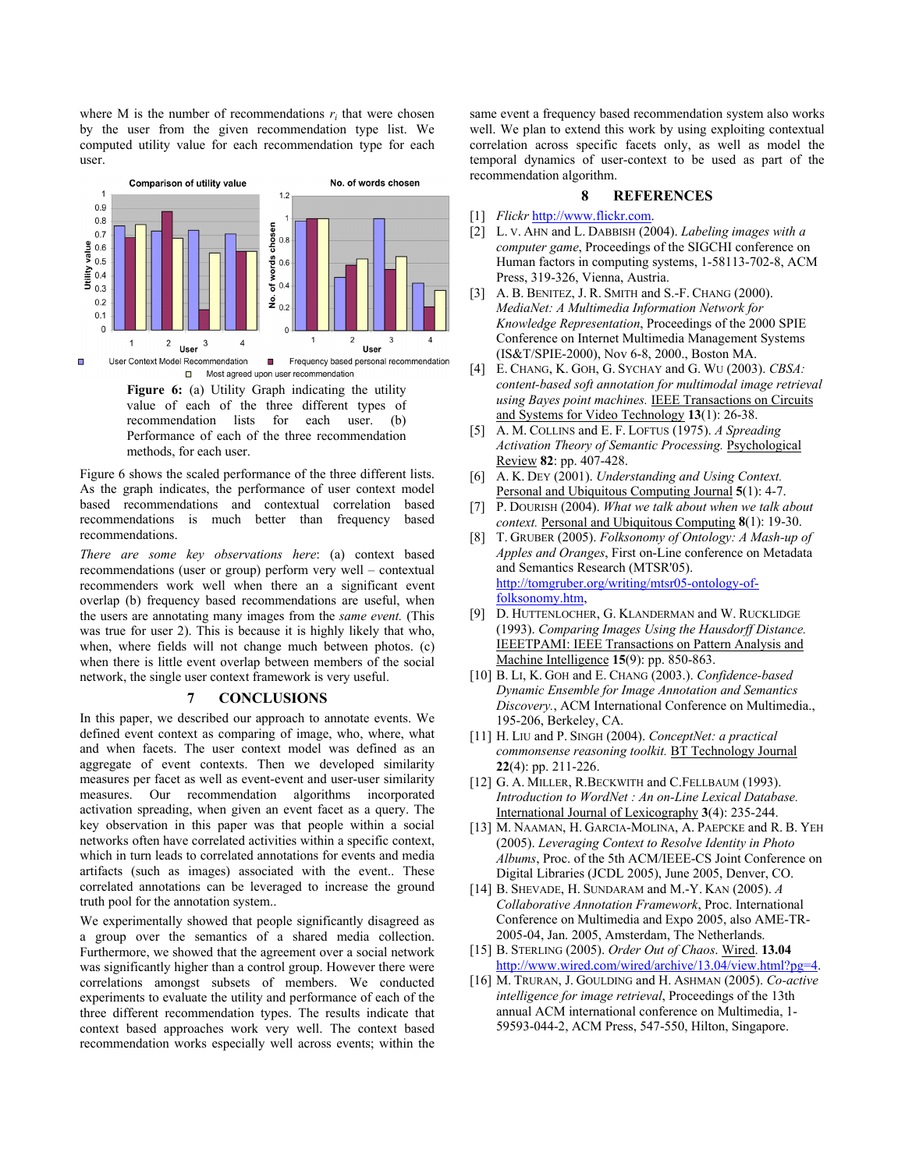where M is the number of recommendations  $r_i$  that were chosen by the user from the given recommendation type list. We computed utility value for each recommendation type for each user.



**Figure 6:** (a) Utility Graph indicating the utility value of each of the three different types of recommendation lists for each user. (b) Performance of each of the three recommendation methods, for each user.

Figure 6 shows the scaled performance of the three different lists. As the graph indicates, the performance of user context model based recommendations and contextual correlation based recommendations is much better than frequency based recommendations.

*There are some key observations here*: (a) context based recommendations (user or group) perform very well – contextual recommenders work well when there an a significant event overlap (b) frequency based recommendations are useful, when the users are annotating many images from the *same event.* (This was true for user 2). This is because it is highly likely that who, when, where fields will not change much between photos. (c) when there is little event overlap between members of the social network, the single user context framework is very useful.

#### **7 CONCLUSIONS**

In this paper, we described our approach to annotate events. We defined event context as comparing of image, who, where, what and when facets. The user context model was defined as an aggregate of event contexts. Then we developed similarity measures per facet as well as event-event and user-user similarity measures. Our recommendation algorithms incorporated activation spreading, when given an event facet as a query. The key observation in this paper was that people within a social networks often have correlated activities within a specific context, which in turn leads to correlated annotations for events and media artifacts (such as images) associated with the event.. These correlated annotations can be leveraged to increase the ground truth pool for the annotation system..

We experimentally showed that people significantly disagreed as a group over the semantics of a shared media collection. Furthermore, we showed that the agreement over a social network was significantly higher than a control group. However there were correlations amongst subsets of members. We conducted experiments to evaluate the utility and performance of each of the three different recommendation types. The results indicate that context based approaches work very well. The context based recommendation works especially well across events; within the same event a frequency based recommendation system also works well. We plan to extend this work by using exploiting contextual correlation across specific facets only, as well as model the temporal dynamics of user-context to be used as part of the recommendation algorithm.

### **8 REFERENCES**

- [1] *Flickr* http://www.flickr.com.
- [2] L. V. AHN and L. DABBISH (2004). *Labeling images with a computer game*, Proceedings of the SIGCHI conference on Human factors in computing systems, 1-58113-702-8, ACM Press, 319-326, Vienna, Austria.
- [3] A. B. BENITEZ, J. R. SMITH and S.-F. CHANG (2000). *MediaNet: A Multimedia Information Network for Knowledge Representation*, Proceedings of the 2000 SPIE Conference on Internet Multimedia Management Systems (IS&T/SPIE-2000), Nov 6-8, 2000., Boston MA.
- [4] E. CHANG, K. GOH, G. SYCHAY and G. WU (2003). *CBSA: content-based soft annotation for multimodal image retrieval using Bayes point machines.* IEEE Transactions on Circuits and Systems for Video Technology **13**(1): 26-38.
- [5] A. M. COLLINS and E. F. LOFTUS (1975). *A Spreading Activation Theory of Semantic Processing.* Psychological Review **82**: pp. 407-428.
- [6] A. K. DEY (2001). *Understanding and Using Context.* Personal and Ubiquitous Computing Journal **5**(1): 4-7.
- [7] P. DOURISH (2004). *What we talk about when we talk about context.* Personal and Ubiquitous Computing **8**(1): 19-30.
- [8] T. GRUBER (2005). *Folksonomy of Ontology: A Mash-up of Apples and Oranges*, First on-Line conference on Metadata and Semantics Research (MTSR'05). http://tomgruber.org/writing/mtsr05-ontology-offolksonomy.htm,
- [9] D. HUTTENLOCHER, G. KLANDERMAN and W. RUCKLIDGE (1993). *Comparing Images Using the Hausdorff Distance.* IEEETPAMI: IEEE Transactions on Pattern Analysis and Machine Intelligence **15**(9): pp. 850-863.
- [10] B. LI, K. GOH and E. CHANG (2003.). *Confidence-based Dynamic Ensemble for Image Annotation and Semantics Discovery.*, ACM International Conference on Multimedia., 195-206, Berkeley, CA.
- [11] H. LIU and P. SINGH (2004). *ConceptNet: a practical commonsense reasoning toolkit.* BT Technology Journal **22**(4): pp. 211-226.
- [12] G. A. MILLER, R. BECKWITH and C. FELLBAUM (1993). *Introduction to WordNet : An on-Line Lexical Database.* International Journal of Lexicography **3**(4): 235-244.
- [13] M. NAAMAN, H. GARCIA-MOLINA, A. PAEPCKE and R. B. YEH (2005). *Leveraging Context to Resolve Identity in Photo Albums*, Proc. of the 5th ACM/IEEE-CS Joint Conference on Digital Libraries (JCDL 2005), June 2005, Denver, CO.
- [14] B. SHEVADE, H. SUNDARAM and M.-Y. KAN (2005). *A Collaborative Annotation Framework*, Proc. International Conference on Multimedia and Expo 2005, also AME-TR-2005-04, Jan. 2005, Amsterdam, The Netherlands.
- [15] B. STERLING (2005). *Order Out of Chaos*. Wired. **13.04** http://www.wired.com/wired/archive/13.04/view.html?pg=4.
- [16] M. TRURAN, J. GOULDING and H. ASHMAN (2005). *Co-active intelligence for image retrieval*, Proceedings of the 13th annual ACM international conference on Multimedia, 1- 59593-044-2, ACM Press, 547-550, Hilton, Singapore.